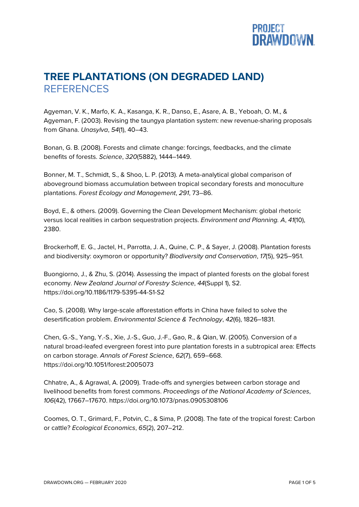

## **TREE PLANTATIONS (ON DEGRADED LAND) REFERENCES**

Agyeman, V. K., Marfo, K. A., Kasanga, K. R., Danso, E., Asare, A. B., Yeboah, O. M., & Agyeman, F. (2003). Revising the taungya plantation system: new revenue-sharing proposals from Ghana. *Unasylva*, *54*(1), 40–43.

Bonan, G. B. (2008). Forests and climate change: forcings, feedbacks, and the climate benefits of forests. *Science*, *320*(5882), 1444–1449.

Bonner, M. T., Schmidt, S., & Shoo, L. P. (2013). A meta-analytical global comparison of aboveground biomass accumulation between tropical secondary forests and monoculture plantations. *Forest Ecology and Management*, *291*, 73–86.

Boyd, E., & others. (2009). Governing the Clean Development Mechanism: global rhetoric versus local realities in carbon sequestration projects. *Environment and Planning. A*, *41*(10), 2380.

Brockerhoff, E. G., Jactel, H., Parrotta, J. A., Quine, C. P., & Sayer, J. (2008). Plantation forests and biodiversity: oxymoron or opportunity? *Biodiversity and Conservation*, *17*(5), 925–951.

Buongiorno, J., & Zhu, S. (2014). Assessing the impact of planted forests on the global forest economy. *New Zealand Journal of Forestry Science*, *44*(Suppl 1), S2. https://doi.org/10.1186/1179-5395-44-S1-S2

Cao, S. (2008). Why large-scale afforestation efforts in China have failed to solve the desertification problem. *Environmental Science & Technology*, *42*(6), 1826–1831.

Chen, G.-S., Yang, Y.-S., Xie, J.-S., Guo, J.-F., Gao, R., & Qian, W. (2005). Conversion of a natural broad-leafed evergreen forest into pure plantation forests in a subtropical area: Effects on carbon storage. *Annals of Forest Science*, *62*(7), 659–668. https://doi.org/10.1051/forest:2005073

Chhatre, A., & Agrawal, A. (2009). Trade-offs and synergies between carbon storage and livelihood benefits from forest commons. *Proceedings of the National Academy of Sciences*, *106*(42), 17667–17670. https://doi.org/10.1073/pnas.0905308106

Coomes, O. T., Grimard, F., Potvin, C., & Sima, P. (2008). The fate of the tropical forest: Carbon or cattle? *Ecological Economics*, *65*(2), 207–212.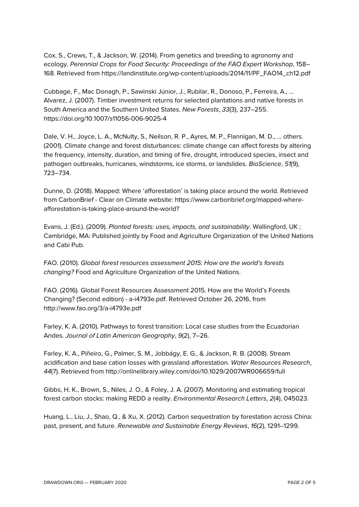Cox, S., Crews, T., & Jackson, W. (2014). From genetics and breeding to agronomy and ecology. *Perennial Crops for Food Security: Proceedings of the FAO Expert Workshop*, 158– 168. Retrieved from https://landinstitute.org/wp-content/uploads/2014/11/PF\_FAO14\_ch12.pdf

Cubbage, F., Mac Donagh, P., Sawinski Júnior, J., Rubilar, R., Donoso, P., Ferreira, A., … Alvarez, J. (2007). Timber investment returns for selected plantations and native forests in South America and the Southern United States. *New Forests*, *33*(3), 237–255. https://doi.org/10.1007/s11056-006-9025-4

Dale, V. H., Joyce, L. A., McNulty, S., Neilson, R. P., Ayres, M. P., Flannigan, M. D., … others. (2001). Climate change and forest disturbances: climate change can affect forests by altering the frequency, intensity, duration, and timing of fire, drought, introduced species, insect and pathogen outbreaks, hurricanes, windstorms, ice storms, or landslides. *BioScience*, *51*(9), 723–734.

Dunne, D. (2018). Mapped: Where 'afforestation' is taking place around the world. Retrieved from CarbonBrief - Clear on Climate website: https://www.carbonbrief.org/mapped-whereafforestation-is-taking-place-around-the-world?

Evans, J. (Ed.). (2009). *Planted forests: uses, impacts, and sustainability*. Wallingford, UK ; Cambridge, MA: Published jointly by Food and Agriculture Organization of the United Nations and Cabi Pub.

FAO. (2010). *Global forest resources assessment 2015: How are the world's forests changing?* Food and Agriculture Organization of the United Nations.

FAO. (2016). Global Forest Resources Assessment 2015. How are the World's Forests Changing? (Second edition) - a-i4793e.pdf. Retrieved October 26, 2016, from http://www.fao.org/3/a-i4793e.pdf

Farley, K. A. (2010). Pathways to forest transition: Local case studies from the Ecuadorian Andes. *Journal of Latin American Geography*, *9*(2), 7–26.

Farley, K. A., Piñeiro, G., Palmer, S. M., Jobbágy, E. G., & Jackson, R. B. (2008). Stream acidification and base cation losses with grassland afforestation. *Water Resources Research*, *44*(7). Retrieved from http://onlinelibrary.wiley.com/doi/10.1029/2007WR006659/full

Gibbs, H. K., Brown, S., Niles, J. O., & Foley, J. A. (2007). Monitoring and estimating tropical forest carbon stocks: making REDD a reality. *Environmental Research Letters*, *2*(4), 045023.

Huang, L., Liu, J., Shao, Q., & Xu, X. (2012). Carbon sequestration by forestation across China: past, present, and future. *Renewable and Sustainable Energy Reviews*, *16*(2), 1291–1299.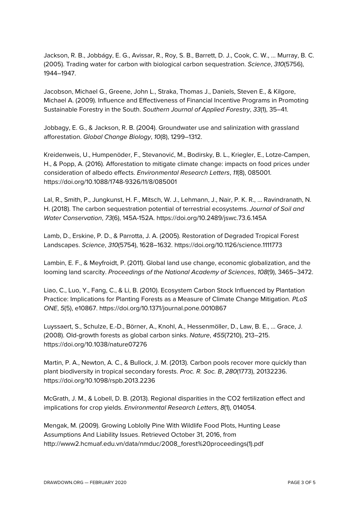Jackson, R. B., Jobbágy, E. G., Avissar, R., Roy, S. B., Barrett, D. J., Cook, C. W., … Murray, B. C. (2005). Trading water for carbon with biological carbon sequestration. *Science*, *310*(5756), 1944–1947.

Jacobson, Michael G., Greene, John L., Straka, Thomas J., Daniels, Steven E., & Kilgore, Michael A. (2009). Influence and Effectiveness of Financial Incentive Programs in Promoting Sustainable Forestry in the South. *Southern Journal of Applied Forestry*, *33*(1), 35–41.

Jobbagy, E. G., & Jackson, R. B. (2004). Groundwater use and salinization with grassland afforestation. *Global Change Biology*, *10*(8), 1299–1312.

Kreidenweis, U., Humpenöder, F., Stevanović, M., Bodirsky, B. L., Kriegler, E., Lotze-Campen, H., & Popp, A. (2016). Afforestation to mitigate climate change: impacts on food prices under consideration of albedo effects. *Environmental Research Letters*, *11*(8), 085001. https://doi.org/10.1088/1748-9326/11/8/085001

Lal, R., Smith, P., Jungkunst, H. F., Mitsch, W. J., Lehmann, J., Nair, P. K. R., … Ravindranath, N. H. (2018). The carbon sequestration potential of terrestrial ecosystems. *Journal of Soil and Water Conservation*, *73*(6), 145A-152A. https://doi.org/10.2489/jswc.73.6.145A

Lamb, D., Erskine, P. D., & Parrotta, J. A. (2005). Restoration of Degraded Tropical Forest Landscapes. *Science*, *310*(5754), 1628–1632. https://doi.org/10.1126/science.1111773

Lambin, E. F., & Meyfroidt, P. (2011). Global land use change, economic globalization, and the looming land scarcity. *Proceedings of the National Academy of Sciences*, *108*(9), 3465–3472.

Liao, C., Luo, Y., Fang, C., & Li, B. (2010). Ecosystem Carbon Stock Influenced by Plantation Practice: Implications for Planting Forests as a Measure of Climate Change Mitigation. *PLoS ONE*, *5*(5), e10867. https://doi.org/10.1371/journal.pone.0010867

Luyssaert, S., Schulze, E.-D., Börner, A., Knohl, A., Hessenmöller, D., Law, B. E., … Grace, J. (2008). Old-growth forests as global carbon sinks. *Nature*, *455*(7210), 213–215. https://doi.org/10.1038/nature07276

Martin, P. A., Newton, A. C., & Bullock, J. M. (2013). Carbon pools recover more quickly than plant biodiversity in tropical secondary forests. *Proc. R. Soc. B*, *280*(1773), 20132236. https://doi.org/10.1098/rspb.2013.2236

McGrath, J. M., & Lobell, D. B. (2013). Regional disparities in the CO2 fertilization effect and implications for crop yields. *Environmental Research Letters*, *8*(1), 014054.

Mengak, M. (2009). Growing Loblolly Pine With Wildlife Food Plots, Hunting Lease Assumptions And Liability Issues. Retrieved October 31, 2016, from http://www2.hcmuaf.edu.vn/data/nmduc/2008\_forest%20proceedings(1).pdf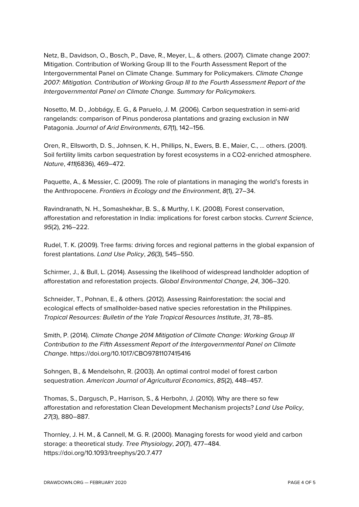Netz, B., Davidson, O., Bosch, P., Dave, R., Meyer, L., & others. (2007). Climate change 2007: Mitigation. Contribution of Working Group III to the Fourth Assessment Report of the Intergovernmental Panel on Climate Change. Summary for Policymakers. *Climate Change 2007: Mitigation. Contribution of Working Group III to the Fourth Assessment Report of the Intergovernmental Panel on Climate Change. Summary for Policymakers.*

Nosetto, M. D., Jobbágy, E. G., & Paruelo, J. M. (2006). Carbon sequestration in semi-arid rangelands: comparison of Pinus ponderosa plantations and grazing exclusion in NW Patagonia. *Journal of Arid Environments*, *67*(1), 142–156.

Oren, R., Ellsworth, D. S., Johnsen, K. H., Phillips, N., Ewers, B. E., Maier, C., … others. (2001). Soil fertility limits carbon sequestration by forest ecosystems in a CO2-enriched atmosphere. *Nature*, *411*(6836), 469–472.

Paquette, A., & Messier, C. (2009). The role of plantations in managing the world's forests in the Anthropocene. *Frontiers in Ecology and the Environment*, *8*(1), 27–34.

Ravindranath, N. H., Somashekhar, B. S., & Murthy, I. K. (2008). Forest conservation, afforestation and reforestation in India: implications for forest carbon stocks. *Current Science*, *95*(2), 216–222.

Rudel, T. K. (2009). Tree farms: driving forces and regional patterns in the global expansion of forest plantations. *Land Use Policy*, *26*(3), 545–550.

Schirmer, J., & Bull, L. (2014). Assessing the likelihood of widespread landholder adoption of afforestation and reforestation projects. *Global Environmental Change*, *24*, 306–320.

Schneider, T., Pohnan, E., & others. (2012). Assessing Rainforestation: the social and ecological effects of smallholder-based native species reforestation in the Philippines. *Tropical Resources: Bulletin of the Yale Tropical Resources Institute*, *31*, 78–85.

Smith, P. (2014). *Climate Change 2014 Mitigation of Climate Change: Working Group III Contribution to the Fifth Assessment Report of the Intergovernmental Panel on Climate Change*. https://doi.org/10.1017/CBO9781107415416

Sohngen, B., & Mendelsohn, R. (2003). An optimal control model of forest carbon sequestration. *American Journal of Agricultural Economics*, *85*(2), 448–457.

Thomas, S., Dargusch, P., Harrison, S., & Herbohn, J. (2010). Why are there so few afforestation and reforestation Clean Development Mechanism projects? *Land Use Policy*, *27*(3), 880–887.

Thornley, J. H. M., & Cannell, M. G. R. (2000). Managing forests for wood yield and carbon storage: a theoretical study. *Tree Physiology*, *20*(7), 477–484. https://doi.org/10.1093/treephys/20.7.477